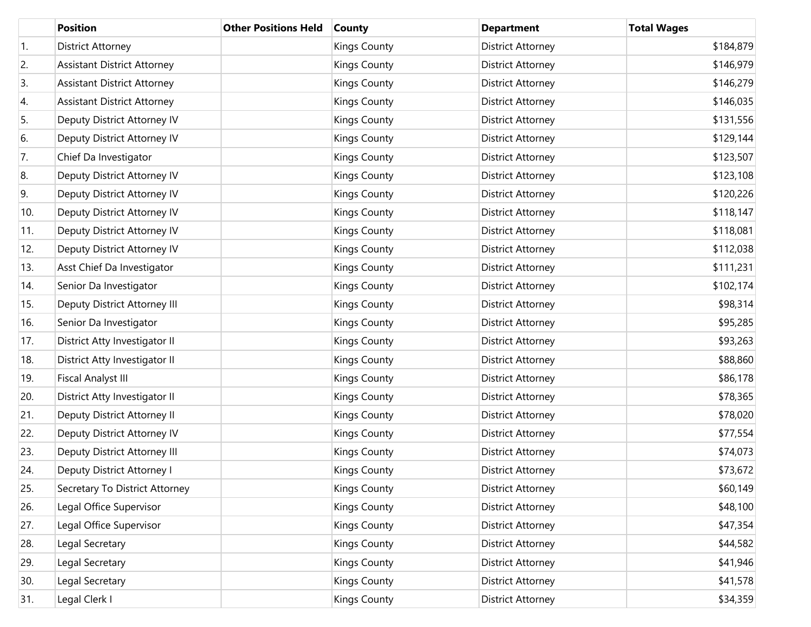|                  | <b>Position</b>                    | <b>Other Positions Held</b> | <b>County</b>       | <b>Department</b>        | <b>Total Wages</b> |
|------------------|------------------------------------|-----------------------------|---------------------|--------------------------|--------------------|
| $\overline{1}$ . | <b>District Attorney</b>           |                             | <b>Kings County</b> | District Attorney        | \$184,879          |
| 2.               | <b>Assistant District Attorney</b> |                             | <b>Kings County</b> | District Attorney        | \$146,979          |
| 3.               | <b>Assistant District Attorney</b> |                             | <b>Kings County</b> | District Attorney        | \$146,279          |
| 4.               | <b>Assistant District Attorney</b> |                             | <b>Kings County</b> | District Attorney        | \$146,035          |
| 5.               | Deputy District Attorney IV        |                             | <b>Kings County</b> | District Attorney        | \$131,556          |
| 6.               | Deputy District Attorney IV        |                             | <b>Kings County</b> | District Attorney        | \$129,144          |
| 7.               | Chief Da Investigator              |                             | <b>Kings County</b> | District Attorney        | \$123,507          |
| 8.               | Deputy District Attorney IV        |                             | <b>Kings County</b> | District Attorney        | \$123,108          |
| 9.               | Deputy District Attorney IV        |                             | <b>Kings County</b> | District Attorney        | \$120,226          |
| 10.              | Deputy District Attorney IV        |                             | <b>Kings County</b> | District Attorney        | \$118,147          |
| 11.              | Deputy District Attorney IV        |                             | <b>Kings County</b> | District Attorney        | \$118,081          |
| 12.              | Deputy District Attorney IV        |                             | <b>Kings County</b> | District Attorney        | \$112,038          |
| 13.              | Asst Chief Da Investigator         |                             | <b>Kings County</b> | District Attorney        | \$111,231          |
| 14.              | Senior Da Investigator             |                             | <b>Kings County</b> | District Attorney        | \$102,174          |
| 15.              | Deputy District Attorney III       |                             | <b>Kings County</b> | District Attorney        | \$98,314           |
| 16.              | Senior Da Investigator             |                             | <b>Kings County</b> | District Attorney        | \$95,285           |
| 17.              | District Atty Investigator II      |                             | <b>Kings County</b> | District Attorney        | \$93,263           |
| 18.              | District Atty Investigator II      |                             | <b>Kings County</b> | District Attorney        | \$88,860           |
| 19.              | <b>Fiscal Analyst III</b>          |                             | <b>Kings County</b> | District Attorney        | \$86,178           |
| 20.              | District Atty Investigator II      |                             | <b>Kings County</b> | District Attorney        | \$78,365           |
| 21.              | Deputy District Attorney II        |                             | <b>Kings County</b> | District Attorney        | \$78,020           |
| 22.              | Deputy District Attorney IV        |                             | <b>Kings County</b> | District Attorney        | \$77,554           |
| 23.              | Deputy District Attorney III       |                             | <b>Kings County</b> | District Attorney        | \$74,073           |
| 24.              | Deputy District Attorney I         |                             | <b>Kings County</b> | District Attorney        | \$73,672           |
| 25.              | Secretary To District Attorney     |                             | <b>Kings County</b> | District Attorney        | \$60,149           |
| 26.              | Legal Office Supervisor            |                             | <b>Kings County</b> | District Attorney        | \$48,100           |
| 27.              | Legal Office Supervisor            |                             | <b>Kings County</b> | District Attorney        | \$47,354           |
| 28.              | Legal Secretary                    |                             | <b>Kings County</b> | District Attorney        | \$44,582           |
| 29.              | Legal Secretary                    |                             | <b>Kings County</b> | District Attorney        | \$41,946           |
| 30.              | Legal Secretary                    |                             | <b>Kings County</b> | District Attorney        | \$41,578           |
| 31.              | Legal Clerk I                      |                             | <b>Kings County</b> | <b>District Attorney</b> | \$34,359           |